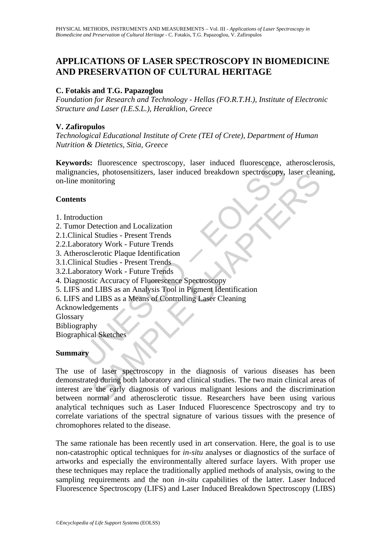# **APPLICATIONS OF LASER SPECTROSCOPY IN BIOMEDICINE AND PRESERVATION OF CULTURAL HERITAGE**

## **C. Fotakis and T.G. Papazoglou**

*Foundation for Research and Technology - Hellas (FO.R.T.H.), Institute of Electronic Structure and Laser (I.E.S.L.), Heraklion, Greece* 

## **V. Zafiropulos**

*Technological Educational Institute of Crete (TEI of Crete), Department of Human Nutrition & Dietetics, Sitia, Greece* 

rds: fluorescence spectroscopy, laser induced fluorescence, a<br>mcies, photosensitizers, laser induced breakdown spectroscopy,<br>monitoring<br>ts<br>ts<br>duction<br>or Detection and Localization<br>oral Studies - Present Trends<br>oratory Work **Keywords:** fluorescence spectroscopy, laser induced fluorescence, atherosclerosis, malignancies, photosensitizers, laser induced breakdown spectroscopy, laser cleaning, on-line monitoring

### **Contents**

- 1. Introduction
- 2. Tumor Detection and Localization
- 2.1.Clinical Studies Present Trends
- 2.2.Laboratory Work Future Trends
- 3. Atherosclerotic Plaque Identification
- 3.1.Clinical Studies Present Trends
- 3.2.Laboratory Work Future Trends
- 4. Diagnostic Accuracy of Fluorescence Spectroscopy
- 5. LIFS and LIBS as an Analysis Tool in Pigment Identification
- 6. LIFS and LIBS as a Means of Controlling Laser Cleaning
- Acknowledgements
- Glossary
- Bibliography
- Biographical Sketches

### **Summary**

es, photosensuizers, laser induced breakdown spectroscopy, laser clean<br>intoring<br>Studies - Present Trends<br>terotic Plaque Identification<br>1 Studies - Present Trends<br>terotic Plaque Identification<br>1 Studies - Present Trends<br>for The use of laser spectroscopy in the diagnosis of various diseases has been demonstrated during both laboratory and clinical studies. The two main clinical areas of interest are the early diagnosis of various malignant lesions and the discrimination between normal and atherosclerotic tissue. Researchers have been using various analytical techniques such as Laser Induced Fluorescence Spectroscopy and try to correlate variations of the spectral signature of various tissues with the presence of chromophores related to the disease.

The same rationale has been recently used in art conservation. Here, the goal is to use non-catastrophic optical techniques for *in-situ* analyses or diagnostics of the surface of artworks and especially the environmentally altered surface layers. With proper use these techniques may replace the traditionally applied methods of analysis, owing to the sampling requirements and the non *in-situ* capabilities of the latter. Laser Induced Fluorescence Spectroscopy (LIFS) and Laser Induced Breakdown Spectroscopy (LIBS)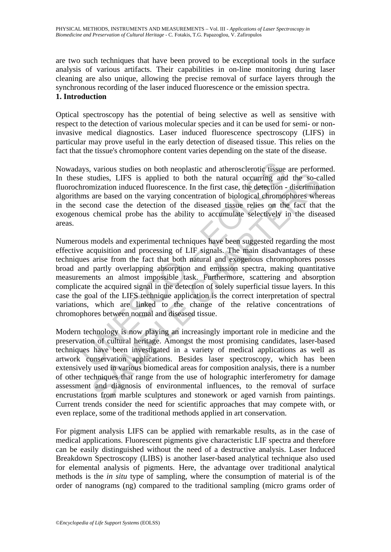are two such techniques that have been proved to be exceptional tools in the surface analysis of various artifacts. Their capabilities in on-line monitoring during laser cleaning are also unique, allowing the precise removal of surface layers through the synchronous recording of the laser induced fluorescence or the emission spectra.

## **1. Introduction**

Optical spectroscopy has the potential of being selective as well as sensitive with respect to the detection of various molecular species and it can be used for semi- or noninvasive medical diagnostics. Laser induced fluorescence spectroscopy (LIFS) in particular may prove useful in the early detection of diseased tissue. This relies on the fact that the tissue's chromophore content varies depending on the state of the disease.

Nowadays, various studies on both neoplastic and atherosclerotic tissue are performed. In these studies, LIFS is applied to both the natural occurring and the so-called fluorochromization induced fluorescence. In the first case, the detection - discrimination algorithms are based on the varying concentration of biological chromophores whereas in the second case the detection of the diseased tissue relies on the fact that the exogenous chemical probe has the ability to accumulate selectively in the diseased areas.

ays, various studies on both neoplastic and atherosclerotic tissue<br>e studies, LIFS is applied to both the natural occurring and<br>romization induced fluorescence. In the first case, the detection-<br>ms are based on the varying tudies, LIFS is applied to both the natural occurring and the so-carization induced fluorescence. In the first case, the detection - discrimina are based on the varying concentration of biological chromophores when condica Numerous models and experimental techniques have been suggested regarding the most effective acquisition and processing of LIF signals. The main disadvantages of these techniques arise from the fact that both natural and exogenous chromophores posses broad and partly overlapping absorption and emission spectra, making quantitative measurements an almost impossible task. Furthermore, scattering and absorption complicate the acquired signal in the detection of solely superficial tissue layers. In this case the goal of the LIFS technique application is the correct interpretation of spectral variations, which are linked to the change of the relative concentrations of chromophores between normal and diseased tissue.

Modern technology is now playing an increasingly important role in medicine and the preservation of cultural heritage. Amongst the most promising candidates, laser-based techniques have been investigated in a variety of medical applications as well as artwork conservation applications. Besides laser spectroscopy, which has been extensively used in various biomedical areas for composition analysis, there is a number of other techniques that range from the use of holographic interferometry for damage assessment and diagnosis of environmental influences, to the removal of surface encrustations from marble sculptures and stonework or aged varnish from paintings. Current trends consider the need for scientific approaches that may compete with, or even replace, some of the traditional methods applied in art conservation.

For pigment analysis LIFS can be applied with remarkable results, as in the case of medical applications. Fluorescent pigments give characteristic LIF spectra and therefore can be easily distinguished without the need of a destructive analysis. Laser Induced Breakdown Spectroscopy (LIBS) is another laser-based analytical technique also used for elemental analysis of pigments. Here, the advantage over traditional analytical methods is the *in situ* type of sampling, where the consumption of material is of the order of nanograms (ng) compared to the traditional sampling (micro grams order of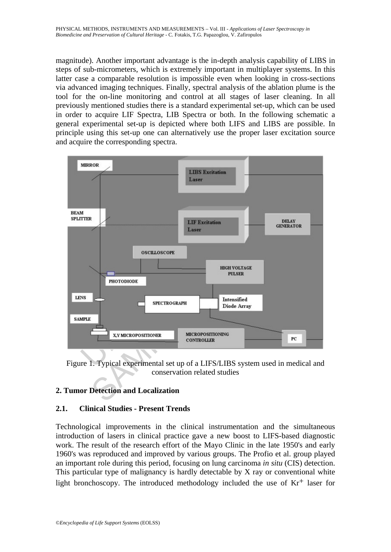magnitude). Another important advantage is the in-depth analysis capability of LIBS in steps of sub-micrometers, which is extremely important in multiplayer systems. In this latter case a comparable resolution is impossible even when looking in cross-sections via advanced imaging techniques. Finally, spectral analysis of the ablation plume is the tool for the on-line monitoring and control at all stages of laser cleaning. In all previously mentioned studies there is a standard experimental set-up, which can be used in order to acquire LIF Spectra, LIB Spectra or both. In the following schematic a general experimental set-up is depicted where both LIFS and LIBS are possible. In principle using this set-up one can alternatively use the proper laser excitation source and acquire the corresponding spectra.



Figure 1. Typical experimental set up of a LIFS/LIBS system used in medical and conservation related studies

# **2. Tumor Detection and Localization**

## **2.1. Clinical Studies - Present Trends**

Technological improvements in the clinical instrumentation and the simultaneous introduction of lasers in clinical practice gave a new boost to LIFS-based diagnostic work. The result of the research effort of the Mayo Clinic in the late 1950's and early 1960's was reproduced and improved by various groups. The Profio et al. group played an important role during this period, focusing on lung carcinoma *in situ* (CIS) detection. This particular type of malignancy is hardly detectable by X ray or conventional white light bronchoscopy. The introduced methodology included the use of  $Kr<sup>+</sup>$  laser for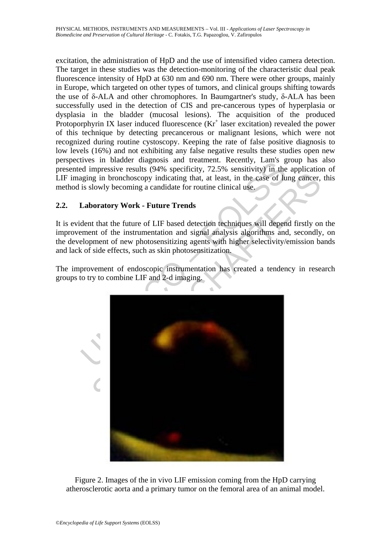excitation, the administration of HpD and the use of intensified video camera detection. The target in these studies was the detection-monitoring of the characteristic dual peak fluorescence intensity of HpD at 630 nm and 690 nm. There were other groups, mainly in Europe, which targeted on other types of tumors, and clinical groups shifting towards the use of δ-ALA and other chromophores. In Baumgartner's study, δ-ALA has been successfully used in the detection of CIS and pre-cancerous types of hyperplasia or dysplasia in the bladder (mucosal lesions). The acquisition of the produced Protoporphyrin IX laser induced fluorescence  $(Kr^+)$  laser excitation) revealed the power of this technique by detecting precancerous or malignant lesions, which were not recognized during routine cystoscopy. Keeping the rate of false positive diagnosis to low levels (16%) and not exhibiting any false negative results these studies open new perspectives in bladder diagnosis and treatment. Recently, Lam's group has also presented impressive results (94% specificity, 72.5% sensitivity) in the application of LIF imaging in bronchoscopy indicating that, at least, in the case of lung cancer, this method is slowly becoming a candidate for routine clinical use.

# **2.2. Laboratory Work - Future Trends**

It is evident that the future of LIF based detection techniques will depend firstly on the improvement of the instrumentation and signal analysis algorithms and, secondly, on the development of new photosensitizing agents with higher selectivity/emission bands and lack of side effects, such as skin photosensitization.

The improvement of endoscopic instrumentation has created a tendency in research groups to try to combine LIF and 2-d imaging.



Figure 2. Images of the in vivo LIF emission coming from the HpD carrying atherosclerotic aorta and a primary tumor on the femoral area of an animal model.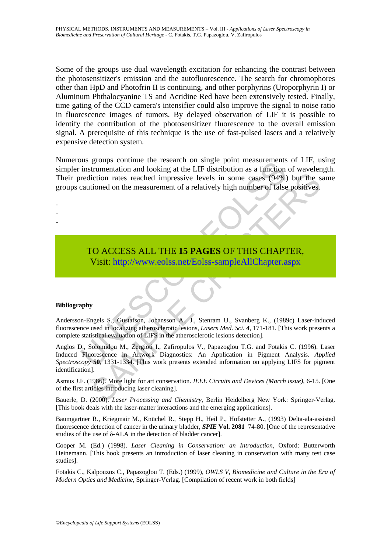Some of the groups use dual wavelength excitation for enhancing the contrast between the photosensitizer's emission and the autofluorescence. The search for chromophores other than HpD and Photofrin II is continuing, and other porphyrins (Uroporphyrin I) or Aluminum Phthalocyanine TS and Acridine Red have been extensively tested. Finally, time gating of the CCD camera's intensifier could also improve the signal to noise ratio in fluorescence images of tumors. By delayed observation of LIF it is possible to identify the contribution of the photosensitizer fluorescence to the overall emission signal. A prerequisite of this technique is the use of fast-pulsed lasers and a relatively expensive detection system.

Subsection and looking at the LIF distribution as a function<br>instrumentation and looking at the LIF distribution as a function<br>rediction rates reached impressive levels in some cases (94%)<br>cautioned on the measurement of a Numerous groups continue the research on single point measurements of LIF, using simpler instrumentation and looking at the LIF distribution as a function of wavelength. Their prediction rates reached impressive levels in some cases (94%) but the same groups cautioned on the measurement of a relatively high number of false positives.

TO ACCESS ALL THE **15 PAGES** OF THIS CHAPTER, Visit: http://www.eolss.net/Eolss-sampleAllChapter.aspx

#### **Bibliography**

- - -

Andersson-Engels S., Gustafson, Johansson A., J., Stenram U., Svanberg K., (1989c) Laser-induced fluorescence used in localizing atherosclerotic lesions, *Lasers Med. Sci. 4*, 171-181. [This work presents a complete statistical evaluation of LIFS in the atherosclerotic lesions detection].

Contract the measurement of a relatively high number of false positives.<br>
Stituted on the measurement of a relatively high number of false positives.<br>
The measurement of a relatively high number of false positives.<br>
States Anglos D., Solomidou M., Zergioti I., Zafiropulos V., Papazoglou T.G. and Fotakis C. (1996). Laser Induced Fluorescence in Artwork Diagnostics: An Application in Pigment Analysis. *Applied Spectroscopy* **50**, 1331-1334. [This work presents extended information on applying LIFS for pigment identification].

Asmus J.F. (1986). More light for art conservation. *IEEE Circuits and Devices (March issue)*, 6-15. [One of the first articles introducing laser cleaning].

Bäuerle, D. (2000). *Laser Processing and Chemistry*, Berlin Heidelberg New York: Springer-Verlag. [This book deals with the laser-matter interactions and the emerging applications].

Baumgartner R., Kriegmair M., Knüchel R., Stepp H., Heil P., Hofstetter A., (1993) Delta-ala-assisted fluorescence detection of cancer in the urinary bladder, *SPIE* **Vol. 2081** 74-80. [One of the representative studies of the use of δ-ALA in the detection of bladder cancer].

Cooper M. (Ed.) (1998). *Laser Cleaning in Conservation: an Introduction*, Oxford: Butterworth Heinemann. [This book presents an introduction of laser cleaning in conservation with many test case studies].

Fotakis C., Kalpouzos C., Papazoglou T. (Eds.) (1999), *OWLS V, Biomedicine and Culture in the Era of Modern Optics and Medicine*, Springer-Verlag. [Compilation of recent work in both fields]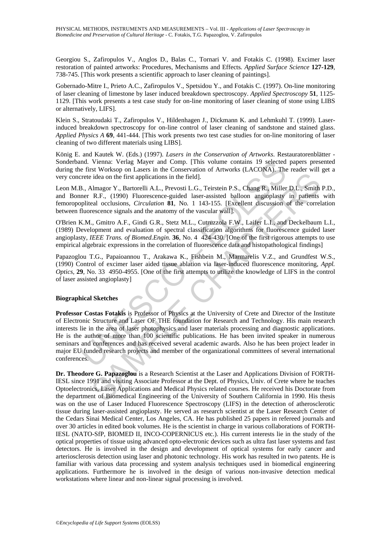Georgiou S., Zafiropulos V., Anglos D., Balas C., Tornari V. and Fotakis C. (1998). Excimer laser restoration of painted artworks: Procedures, Mechanisms and Effects*. Applied Surface Science* **127-129**, 738-745. [This work presents a scientific approach to laser cleaning of paintings].

Gobernado-Mitre I., Prieto A.C., Zafiropulos V., Spetsidou Y., and Fotakis C. (1997). On-line monitoring of laser cleaning of limestone by laser induced breakdown spectroscopy. *Applied Spectroscopy* **51**, 1125- 1129. [This work presents a test case study for on-line monitoring of laser cleaning of stone using LIBS or alternatively, LIFS].

Klein S., Stratoudaki T., Zafiropulos V., Hildenhagen J., Dickmann K. and Lehmkuhl T. (1999). Laserinduced breakdown spectroscopy for on-line control of laser cleaning of sandstone and stained glass. *Applied Physics A* **69**, 441-444. [This work presents two test case studies for on-line monitoring of laser cleaning of two different materials using LIBS].

König E. and Kautek W. (Eds.) (1997). *Lasers in the Conservation of Artworks*. Restauratorenblätter - Sonderband. Vienna: Verlag Mayer and Comp. [This volume contains 19 selected papers presented during the first Worksop on Lasers in the Conservation of Artworks (LACONA). The reader will get a very concrete idea on the first applications in the field].

Leon M.B., Almagor Y., Bartorelli A.L., Prevosti L.G., Teirstein P.S., Chang R., Miller D.L., Smith P.D., and Bonner R.F., (1990) Fluorescence-guided laser-assisted balloon angioplasty in patients with femoropopliteal occlusions, *Circulation* **81**, No*.* 1 143-155. [Excellent discussion of the correlation between fluorescence signals and the anatomy of the vascular wall].

O'Brien K.M., Gmitro A.F., Gindi G.R., Stetz M.L., Cutruzzola F.W., Laifer L.I., and Deckelbaum L.I., (1989) Development and evaluation of spectral classification algorithms for fluorescence guided laser angioplasty, *IEEE Trans. of Biomed.Engin.* **36**, No. 4 424-430. [One of the first rigorous attempts to use empirical algebraic expressions in the correlation of fluorescence data and histopathological findings]

Papazoglou T.G., Papaioannou T., Arakawa K., Fishbein M., Marmarelis V.Z., and Grundfest W.S., (1990) Control of excimer laser aided tissue ablation via laser-induced fluorescence monitoring, *Appl. Optics,* **29**, No. 33 4950-4955. [One of the first attempts to utilize the knowledge of LIFS in the control of laser assisted angioplasty]

#### **Biographical Sketches**

md. Vienna: Verlag Mayer and Comp. [This volume contains 19 selected first Worksop on Lasers in the Conservation of Artworks (LACONA). The create it works are first works and the Conservation of Artworks (LACONA). The firs idea on the first applications in the field].<br>
Minagor Y., Bartorelli A.L., Prevosti L.G., Teirstein P.S., Chang R., Miller D.L., Smith R.F., (1990) Fhorescence guided laser-assisted balloom angioplasty in patients.<br>
R.F., **Professor Costas Fotakis** is Professor of Physics at the University of Crete and Director of the Institute of Electronic Structure and Laser OF THE foundation for Research and Technology. His main research interests lie in the area of laser photophysics and laser materials processing and diagnostic applications. He is the author of more than 100 scientific publications. He has been invited speaker in numerous seminars and conferences and has received several academic awards. Also he has been project leader in major EU funded research projects and member of the organizational committees of several international conferences.

**Dr. Theodore G. Papazoglou** is a Research Scientist at the Laser and Applications Division of FORTH-IESL since 1991 and visiting Associate Professor at the Dept. of Physics, Univ. of Crete where he teaches Optoelectronics, Laser Applications and Medical Physics related courses. He received his Doctorate from the department of Biomedical Engineering of the University of Southern California in 1990. His thesis was on the use of Laser Induced Fluorescence Spectroscopy (LIFS) in the detection of atherosclerotic tissue during laser-assisted angioplasty. He served as research scientist at the Laser Research Center of the Cedars Sinai Medical Center, Los Angeles, CA. He has published 25 papers in refereed journals and over 30 articles in edited book volumes. He is the scientist in charge in various collaborations of FORTH-IESL (NATO-SfP, BIOMED II, INCO-COPERNICUS etc.). His current interests lie in the study of the optical properties of tissue using advanced opto-electronic devices such as ultra fast laser systems and fast detectors. He is involved in the design and development of optical systems for early cancer and arteriosclerosis detection using laser and photonic technology. His work has resulted in two patents. He is familiar with various data processing and system analysis techniques used in biomedical engineering applications. Furthermore he is involved in the design of various non-invasive detection medical workstations where linear and non-linear signal processing is involved.